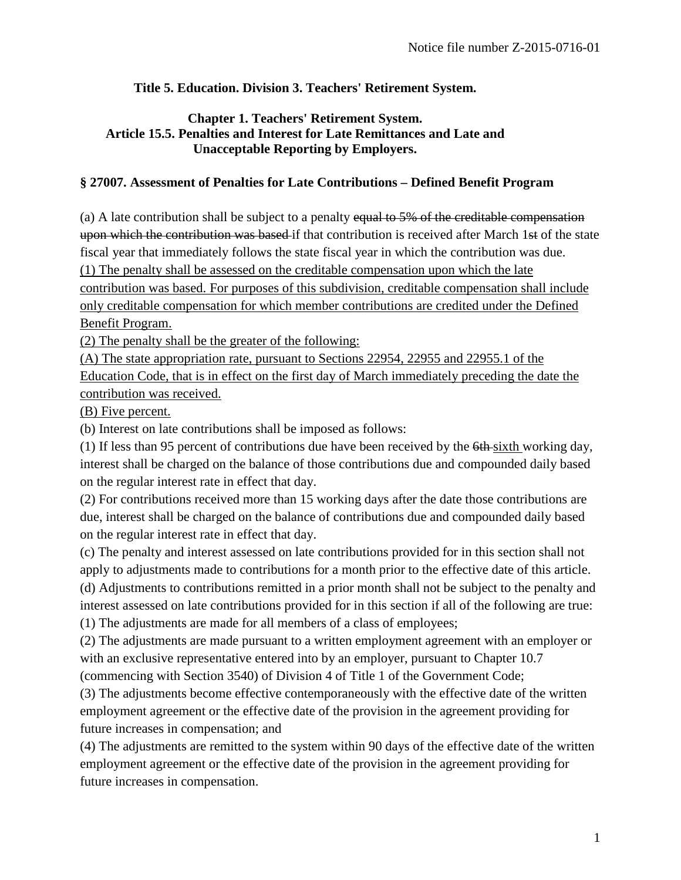## **Title 5. Education. Division 3. Teachers' Retirement System.**

## **Chapter 1. Teachers' Retirement System. Article 15.5. Penalties and Interest for Late Remittances and Late and Unacceptable Reporting by Employers.**

## **§ 27007. Assessment of Penalties for Late Contributions – Defined Benefit Program**

(a) A late contribution shall be subject to a penalty equal to  $5\%$  of the creditable compensation upon which the contribution was based if that contribution is received after March 1st of the state fiscal year that immediately follows the state fiscal year in which the contribution was due. (1) The penalty shall be assessed on the creditable compensation upon which the late contribution was based. For purposes of this subdivision, creditable compensation shall include only creditable compensation for which member contributions are credited under the Defined Benefit Program.

(2) The penalty shall be the greater of the following:

(A) The state appropriation rate, pursuant to Sections 22954, 22955 and 22955.1 of the Education Code, that is in effect on the first day of March immediately preceding the date the contribution was received.

(B) Five percent.

(b) Interest on late contributions shall be imposed as follows:

(1) If less than 95 percent of contributions due have been received by the 6th sixth working day, interest shall be charged on the balance of those contributions due and compounded daily based on the regular interest rate in effect that day.

(2) For contributions received more than 15 working days after the date those contributions are due, interest shall be charged on the balance of contributions due and compounded daily based on the regular interest rate in effect that day.

(c) The penalty and interest assessed on late contributions provided for in this section shall not apply to adjustments made to contributions for a month prior to the effective date of this article. (d) Adjustments to contributions remitted in a prior month shall not be subject to the penalty and

interest assessed on late contributions provided for in this section if all of the following are true: (1) The adjustments are made for all members of a class of employees;

(2) The adjustments are made pursuant to a written employment agreement with an employer or with an exclusive representative entered into by an employer, pursuant to Chapter 10.7

(commencing with Section 3540) of Division 4 of Title 1 of the Government Code;

(3) The adjustments become effective contemporaneously with the effective date of the written employment agreement or the effective date of the provision in the agreement providing for future increases in compensation; and

(4) The adjustments are remitted to the system within 90 days of the effective date of the written employment agreement or the effective date of the provision in the agreement providing for future increases in compensation.